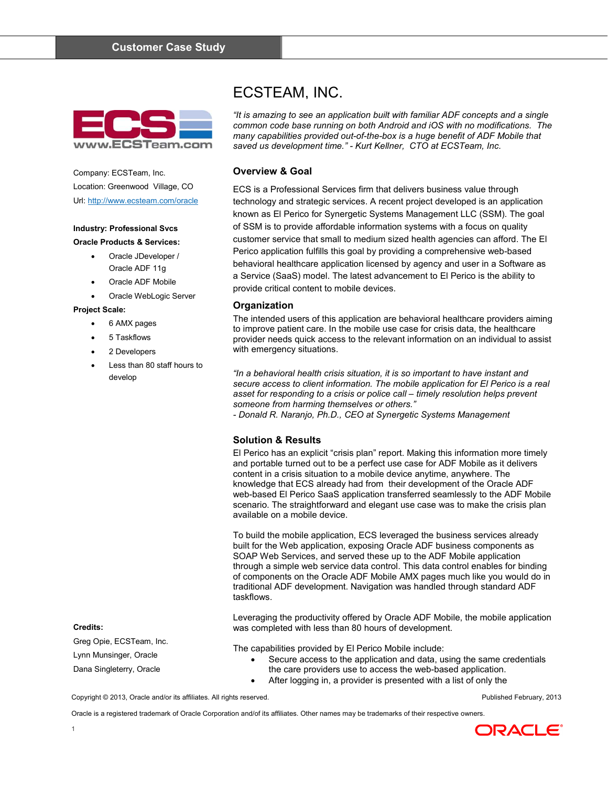

Company: ECSTeam, Inc. Location: Greenwood Village, CO Url: http://www.ecsteam.com/oracle

# **Industry: Professional Svcs Oracle Products & Services:**

- Oracle JDeveloper / Oracle ADF 11g
- Oracle ADF Mobile
- Oracle WebLogic Server

### **Project Scale:**

- 6 AMX pages
- 5 Taskflows
- 2 Developers
- Less than 80 staff hours to develop

# ECSTEAM, INC.

*"It is amazing to see an application built with familiar ADF concepts and a single common code base running on both Android and iOS with no modifications. The many capabilities provided out-of-the-box is a huge benefit of ADF Mobile that saved us development time." - Kurt Kellner, CTO at ECSTeam, Inc.* 

## **Overview & Goal**

ECS is a Professional Services firm that delivers business value through technology and strategic services. A recent project developed is an application known as El Perico for Synergetic Systems Management LLC (SSM). The goal of SSM is to provide affordable information systems with a focus on quality customer service that small to medium sized health agencies can afford. The El Perico application fulfills this goal by providing a comprehensive web-based behavioral healthcare application licensed by agency and user in a Software as a Service (SaaS) model. The latest advancement to El Perico is the ability to provide critical content to mobile devices.

## **Organization**

The intended users of this application are behavioral healthcare providers aiming to improve patient care. In the mobile use case for crisis data, the healthcare provider needs quick access to the relevant information on an individual to assist with emergency situations.

*"In a behavioral health crisis situation, it is so important to have instant and secure access to client information. The mobile application for El Perico is a real asset for responding to a crisis or police call – timely resolution helps prevent someone from harming themselves or others."* 

*- Donald R. Naranjo, Ph.D., CEO at Synergetic Systems Management* 

## **Solution & Results**

El Perico has an explicit "crisis plan" report. Making this information more timely and portable turned out to be a perfect use case for ADF Mobile as it delivers content in a crisis situation to a mobile device anytime, anywhere. The knowledge that ECS already had from their development of the Oracle ADF web-based El Perico SaaS application transferred seamlessly to the ADF Mobile scenario. The straightforward and elegant use case was to make the crisis plan available on a mobile device.

To build the mobile application, ECS leveraged the business services already built for the Web application, exposing Oracle ADF business components as SOAP Web Services, and served these up to the ADF Mobile application through a simple web service data control. This data control enables for binding of components on the Oracle ADF Mobile AMX pages much like you would do in traditional ADF development. Navigation was handled through standard ADF taskflows.

Leveraging the productivity offered by Oracle ADF Mobile, the mobile application was completed with less than 80 hours of development.

The capabilities provided by El Perico Mobile include:

- Secure access to the application and data, using the same credentials the care providers use to access the web-based application.
- After logging in, a provider is presented with a list of only the

Copyright © 2013, Oracle and/or its affiliates. All rights reserved. Published February, 2013

Oracle is a registered trademark of Oracle Corporation and/of its affiliates. Other names may be trademarks of their respective owners.



1

**Credits:** 

Greg Opie, ECSTeam, Inc. Lynn Munsinger, Oracle Dana Singleterry, Oracle